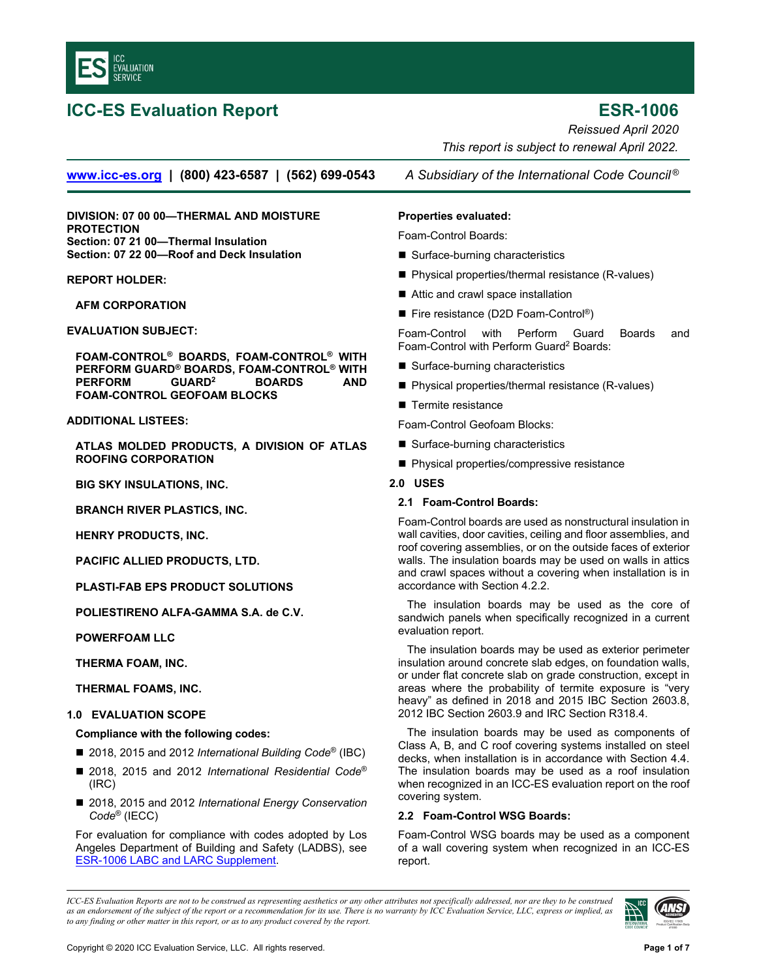<span id="page-0-0"></span>

# **ICC-ES Evaluation Report ESR-1006**

*Reissued April 2020 This report is subject to renewal April 2022.* 

**www.icc-es.org | (800) 423-6587 | (562) 699-0543** *A Subsidiary of the International Code Council ®*

**DIVISION: 07 00 00—THERMAL AND MOISTURE PROTECTION Section: 07 21 00—Thermal Insulation Section: 07 22 00—Roof and Deck Insulation** 

# **REPORT HOLDER:**

**AFM CORPORATION** 

**EVALUATION SUBJECT:** 

**FOAM-CONTROL® BOARDS, FOAM-CONTROL® WITH PERFORM GUARD® BOARDS, FOAM-CONTROL® WITH PERFORM GUARD2 BOARDS AND FOAM-CONTROL GEOFOAM BLOCKS**

# **ADDITIONAL LISTEES:**

**ATLAS MOLDED PRODUCTS, A DIVISION OF ATLAS ROOFING CORPORATION** 

**BIG SKY INSULATIONS, INC.** 

**BRANCH RIVER PLASTICS, INC.** 

**HENRY PRODUCTS, INC.** 

**PACIFIC ALLIED PRODUCTS, LTD.** 

**PLASTI-FAB EPS PRODUCT SOLUTIONS** 

**POLIESTIRENO ALFA-GAMMA S.A. de C.V.** 

**POWERFOAM LLC** 

**THERMA FOAM, INC.** 

**THERMAL FOAMS, INC.** 

# **1.0 EVALUATION SCOPE**

# **Compliance with the following codes:**

- 2018, 2015 and 2012 *International Building Code<sup>®</sup>* (IBC)
- 2018, 2015 and 2012 *International Residential Code®* (IRC)
- 2018, 2015 and 2012 *International Energy Conservation Code*® (IECC)

For evaluation for compliance with codes adopted by Los Angeles Department of Building and Safety (LADBS), see [ESR-1006 LABC and LARC Supplement.](#page-6-0)

### **Properties evaluated:**

Foam-Control Boards:

- Surface-burning characteristics
- Physical properties/thermal resistance (R-values)
- Attic and crawl space installation
- Fire resistance (D2D Foam-Control®)

Foam-Control with Perform Guard Boards and Foam-Control with Perform Guard<sup>2</sup> Boards:

- Surface-burning characteristics
- Physical properties/thermal resistance (R-values)
- Termite resistance
- Foam-Control Geofoam Blocks:
- Surface-burning characteristics
- Physical properties/compressive resistance

# **2.0 USES**

# **2.1 Foam-Control Boards:**

Foam-Control boards are used as nonstructural insulation in wall cavities, door cavities, ceiling and floor assemblies, and roof covering assemblies, or on the outside faces of exterior walls. The insulation boards may be used on walls in attics and crawl spaces without a covering when installation is in accordance with Section 4.2.2.

The insulation boards may be used as the core of sandwich panels when specifically recognized in a current evaluation report.

The insulation boards may be used as exterior perimeter insulation around concrete slab edges, on foundation walls, or under flat concrete slab on grade construction, except in areas where the probability of termite exposure is "very heavy" as defined in 2018 and 2015 IBC Section 2603.8, 2012 IBC Section 2603.9 and IRC Section R318.4.

The insulation boards may be used as components of Class A, B, and C roof covering systems installed on steel decks, when installation is in accordance with Section 4.4. The insulation boards may be used as a roof insulation when recognized in an ICC-ES evaluation report on the roof covering system.

# **2.2 Foam-Control WSG Boards:**

Foam-Control WSG boards may be used as a component of a wall covering system when recognized in an ICC-ES report.

*ICC-ES Evaluation Reports are not to be construed as representing aesthetics or any other attributes not specifically addressed, nor are they to be construed as an endorsement of the subject of the report or a recommendation for its use. There is no warranty by ICC Evaluation Service, LLC, express or implied, as to any finding or other matter in this report, or as to any product covered by the report.*

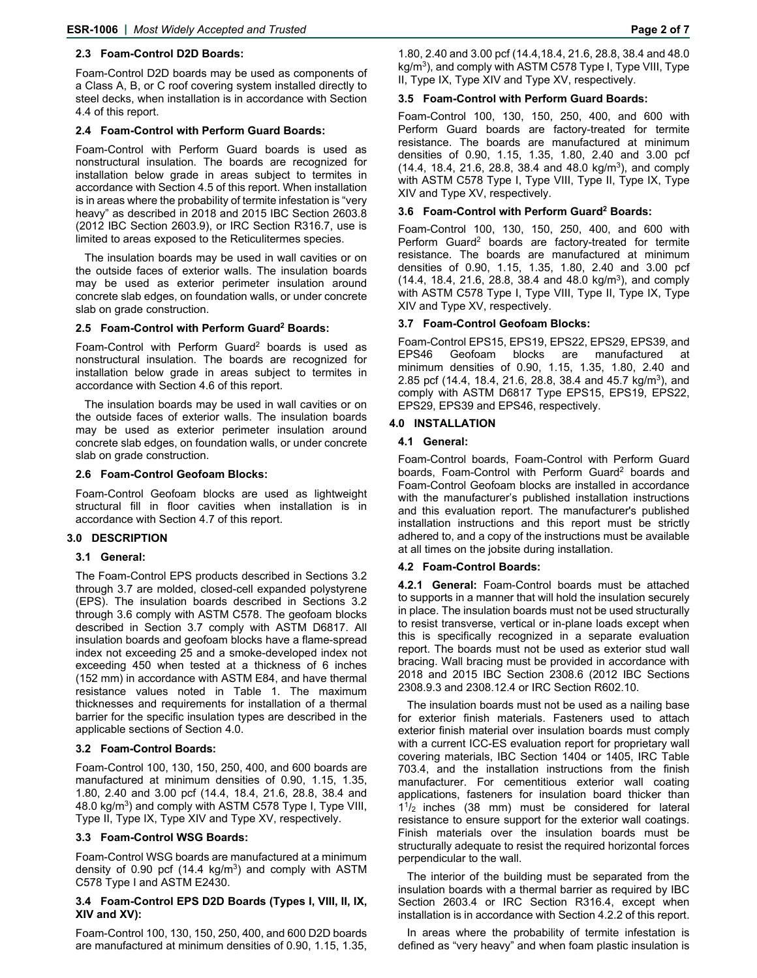# **2.3 Foam-Control D2D Boards:**

Foam-Control D2D boards may be used as components of a Class A, B, or C roof covering system installed directly to steel decks, when installation is in accordance with Section 4.4 of this report.

# **2.4 Foam-Control with Perform Guard Boards:**

Foam-Control with Perform Guard boards is used as nonstructural insulation. The boards are recognized for installation below grade in areas subject to termites in accordance with Section 4.5 of this report. When installation is in areas where the probability of termite infestation is "very heavy" as described in 2018 and 2015 IBC Section 2603.8 (2012 IBC Section 2603.9), or IRC Section R316.7, use is limited to areas exposed to the Reticulitermes species.

The insulation boards may be used in wall cavities or on the outside faces of exterior walls. The insulation boards may be used as exterior perimeter insulation around concrete slab edges, on foundation walls, or under concrete slab on grade construction.

# **2.5 Foam-Control with Perform Guard2 Boards:**

Foam-Control with Perform Guard2 boards is used as nonstructural insulation. The boards are recognized for installation below grade in areas subject to termites in accordance with Section 4.6 of this report.

The insulation boards may be used in wall cavities or on the outside faces of exterior walls. The insulation boards may be used as exterior perimeter insulation around concrete slab edges, on foundation walls, or under concrete slab on grade construction.

# **2.6 Foam-Control Geofoam Blocks:**

Foam-Control Geofoam blocks are used as lightweight structural fill in floor cavities when installation is in accordance with Section 4.7 of this report.

# **3.0 DESCRIPTION**

# **3.1 General:**

The Foam-Control EPS products described in Sections 3.2 through 3.7 are molded, closed-cell expanded polystyrene (EPS). The insulation boards described in Sections 3.2 through 3.6 comply with ASTM C578. The geofoam blocks described in Section 3.7 comply with ASTM D6817. All insulation boards and geofoam blocks have a flame-spread index not exceeding 25 and a smoke-developed index not exceeding 450 when tested at a thickness of 6 inches (152 mm) in accordance with ASTM E84, and have thermal resistance values noted in Table 1. The maximum thicknesses and requirements for installation of a thermal barrier for the specific insulation types are described in the applicable sections of Section 4.0.

# **3.2 Foam-Control Boards:**

Foam-Control 100, 130, 150, 250, 400, and 600 boards are manufactured at minimum densities of 0.90, 1.15, 1.35, 1.80, 2.40 and 3.00 pcf (14.4, 18.4, 21.6, 28.8, 38.4 and 48.0 kg/m<sup>3</sup>) and comply with ASTM C578 Type I, Type VIII, Type II, Type IX, Type XIV and Type XV, respectively.

# **3.3 Foam-Control WSG Boards:**

Foam-Control WSG boards are manufactured at a minimum density of 0.90 pcf  $(14.4 \text{ kg/m}^3)$  and comply with ASTM C578 Type I and ASTM E2430.

#### **3.4 Foam-Control EPS D2D Boards (Types I, VIII, II, IX, XIV and XV):**

Foam-Control 100, 130, 150, 250, 400, and 600 D2D boards are manufactured at minimum densities of 0.90, 1.15, 1.35, 1.80, 2.40 and 3.00 pcf (14.4,18.4, 21.6, 28.8, 38.4 and 48.0 kg/m<sup>3</sup>), and comply with ASTM C578 Type I, Type VIII, Type II, Type IX, Type XIV and Type XV, respectively.

# **3.5 Foam-Control with Perform Guard Boards:**

Foam-Control 100, 130, 150, 250, 400, and 600 with Perform Guard boards are factory-treated for termite resistance. The boards are manufactured at minimum densities of 0.90, 1.15, 1.35, 1.80, 2.40 and 3.00 pcf (14.4, 18.4, 21.6, 28.8, 38.4 and 48.0 kg/m<sup>3</sup>), and comply with ASTM C578 Type I, Type VIII, Type II, Type IX, Type XIV and Type XV, respectively.

# **3.6 Foam-Control with Perform Guard2 Boards:**

Foam-Control 100, 130, 150, 250, 400, and 600 with Perform Guard<sup>2</sup> boards are factory-treated for termite resistance. The boards are manufactured at minimum densities of 0.90, 1.15, 1.35, 1.80, 2.40 and 3.00 pcf  $(14.4, 18.4, 21.6, 28.8, 38.4, and 48.0 kg/m<sup>3</sup>)$ , and comply with ASTM C578 Type I, Type VIII, Type II, Type IX, Type XIV and Type XV, respectively.

# **3.7 Foam-Control Geofoam Blocks:**

Foam-Control EPS15, EPS19, EPS22, EPS29, EPS39, and EPS46 Geofoam blocks are manufactured minimum densities of 0.90, 1.15, 1.35, 1.80, 2.40 and 2.85 pcf (14.4, 18.4, 21.6, 28.8, 38.4 and 45.7 kg/m<sup>3</sup>), and comply with ASTM D6817 Type EPS15, EPS19, EPS22, EPS29, EPS39 and EPS46, respectively.

# **4.0 INSTALLATION**

# **4.1 General:**

Foam-Control boards, Foam-Control with Perform Guard boards, Foam-Control with Perform Guard<sup>2</sup> boards and Foam-Control Geofoam blocks are installed in accordance with the manufacturer's published installation instructions and this evaluation report. The manufacturer's published installation instructions and this report must be strictly adhered to, and a copy of the instructions must be available at all times on the jobsite during installation.

#### **4.2 Foam-Control Boards:**

**4.2.1 General:** Foam-Control boards must be attached to supports in a manner that will hold the insulation securely in place. The insulation boards must not be used structurally to resist transverse, vertical or in-plane loads except when this is specifically recognized in a separate evaluation report. The boards must not be used as exterior stud wall bracing. Wall bracing must be provided in accordance with 2018 and 2015 IBC Section 2308.6 (2012 IBC Sections 2308.9.3 and 2308.12.4 or IRC Section R602.10.

The insulation boards must not be used as a nailing base for exterior finish materials. Fasteners used to attach exterior finish material over insulation boards must comply with a current ICC-ES evaluation report for proprietary wall covering materials, IBC Section 1404 or 1405, IRC Table 703.4, and the installation instructions from the finish manufacturer. For cementitious exterior wall coating applications, fasteners for insulation board thicker than  $1<sup>1</sup>/2$  inches (38 mm) must be considered for lateral resistance to ensure support for the exterior wall coatings. Finish materials over the insulation boards must be structurally adequate to resist the required horizontal forces perpendicular to the wall.

The interior of the building must be separated from the insulation boards with a thermal barrier as required by IBC Section 2603.4 or IRC Section R316.4, except when installation is in accordance with Section 4.2.2 of this report.

In areas where the probability of termite infestation is defined as "very heavy" and when foam plastic insulation is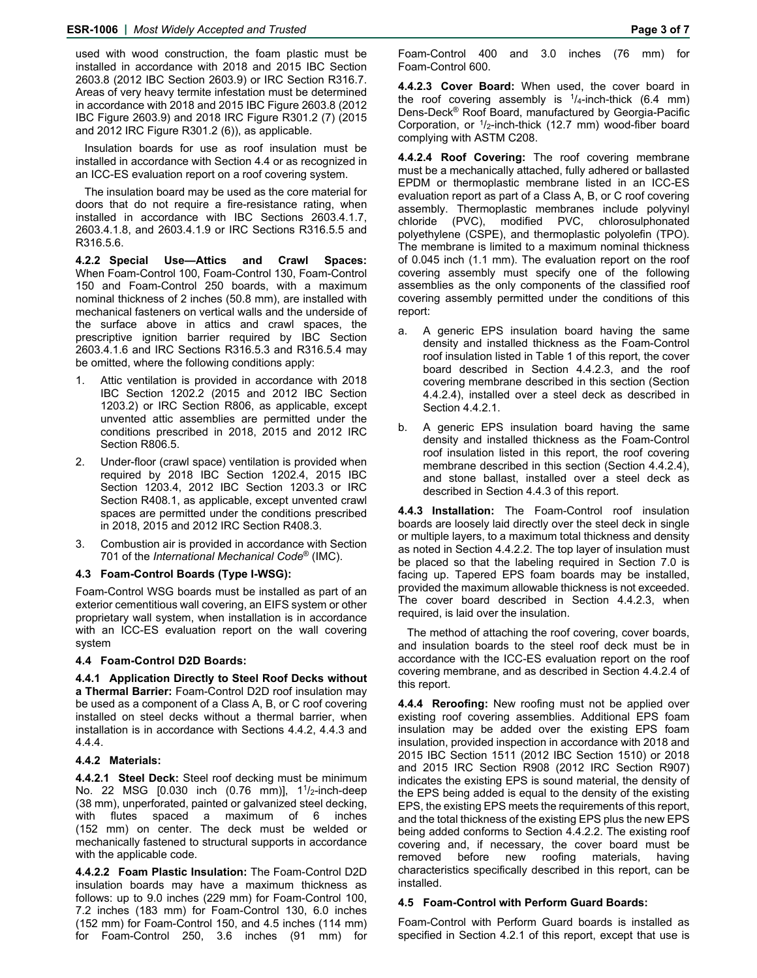used with wood construction, the foam plastic must be installed in accordance with 2018 and 2015 IBC Section 2603.8 (2012 IBC Section 2603.9) or IRC Section R316.7. Areas of very heavy termite infestation must be determined in accordance with 2018 and 2015 IBC Figure 2603.8 (2012 IBC Figure 2603.9) and 2018 IRC Figure R301.2 (7) (2015 and 2012 IRC Figure R301.2 (6)), as applicable.

Insulation boards for use as roof insulation must be installed in accordance with Section 4.4 or as recognized in an ICC-ES evaluation report on a roof covering system.

The insulation board may be used as the core material for doors that do not require a fire-resistance rating, when installed in accordance with IBC Sections 2603.4.1.7, 2603.4.1.8, and 2603.4.1.9 or IRC Sections R316.5.5 and R316.5.6.

**4.2.2 Special Use—Attics and Crawl Spaces:** When Foam-Control 100, Foam-Control 130, Foam-Control 150 and Foam-Control 250 boards, with a maximum nominal thickness of 2 inches (50.8 mm), are installed with mechanical fasteners on vertical walls and the underside of the surface above in attics and crawl spaces, the prescriptive ignition barrier required by IBC Section 2603.4.1.6 and IRC Sections R316.5.3 and R316.5.4 may be omitted, where the following conditions apply:

- Attic ventilation is provided in accordance with 2018 IBC Section 1202.2 (2015 and 2012 IBC Section 1203.2) or IRC Section R806, as applicable, except unvented attic assemblies are permitted under the conditions prescribed in 2018, 2015 and 2012 IRC Section R806.5.
- 2. Under-floor (crawl space) ventilation is provided when required by 2018 IBC Section 1202.4, 2015 IBC Section 1203.4, 2012 IBC Section 1203.3 or IRC Section R408.1, as applicable, except unvented crawl spaces are permitted under the conditions prescribed in 2018, 2015 and 2012 IRC Section R408.3.
- Combustion air is provided in accordance with Section 701 of the *International Mechanical Code*® (IMC).

#### **4.3 Foam-Control Boards (Type I-WSG):**

Foam-Control WSG boards must be installed as part of an exterior cementitious wall covering, an EIFS system or other proprietary wall system, when installation is in accordance with an ICC-ES evaluation report on the wall covering system

#### **4.4 Foam-Control D2D Boards:**

**4.4.1 Application Directly to Steel Roof Decks without a Thermal Barrier:** Foam-Control D2D roof insulation may be used as a component of a Class A, B, or C roof covering installed on steel decks without a thermal barrier, when installation is in accordance with Sections 4.4.2, 4.4.3 and 4.4.4.

### **4.4.2 Materials:**

**4.4.2.1 Steel Deck:** Steel roof decking must be minimum No. 22 MSG [0.030 inch (0.76 mm)], 1<sup>1</sup>/<sub>2</sub>-inch-deep (38 mm), unperforated, painted or galvanized steel decking, with flutes spaced a maximum of 6 inches (152 mm) on center. The deck must be welded or mechanically fastened to structural supports in accordance with the applicable code.

**4.4.2.2 Foam Plastic Insulation:** The Foam-Control D2D insulation boards may have a maximum thickness as follows: up to 9.0 inches (229 mm) for Foam-Control 100, 7.2 inches (183 mm) for Foam-Control 130, 6.0 inches (152 mm) for Foam-Control 150, and 4.5 inches (114 mm) for Foam-Control 250, 3.6 inches (91 mm) for Foam-Control 400 and 3.0 inches (76 mm) for Foam-Control 600.

**4.4.2.3 Cover Board:** When used, the cover board in the roof covering assembly is  $\frac{1}{4}$ -inch-thick (6.4 mm) Dens-Deck® Roof Board, manufactured by Georgia-Pacific Corporation, or  $1/2$ -inch-thick (12.7 mm) wood-fiber board complying with ASTM C208.

**4.4.2.4 Roof Covering:** The roof covering membrane must be a mechanically attached, fully adhered or ballasted EPDM or thermoplastic membrane listed in an ICC-ES evaluation report as part of a Class A, B, or C roof covering assembly. Thermoplastic membranes include polyvinyl chloride (PVC), modified PVC, chlorosulphonated polyethylene (CSPE), and thermoplastic polyolefin (TPO). The membrane is limited to a maximum nominal thickness of 0.045 inch (1.1 mm). The evaluation report on the roof covering assembly must specify one of the following assemblies as the only components of the classified roof covering assembly permitted under the conditions of this report:

- a. A generic EPS insulation board having the same density and installed thickness as the Foam-Control roof insulation listed in Table 1 of this report, the cover board described in Section 4.4.2.3, and the roof covering membrane described in this section (Section 4.4.2.4), installed over a steel deck as described in Section 4.4.2.1.
- b. A generic EPS insulation board having the same density and installed thickness as the Foam-Control roof insulation listed in this report, the roof covering membrane described in this section (Section 4.4.2.4), and stone ballast, installed over a steel deck as described in Section 4.4.3 of this report.

**4.4.3 Installation:** The Foam-Control roof insulation boards are loosely laid directly over the steel deck in single or multiple layers, to a maximum total thickness and density as noted in Section 4.4.2.2. The top layer of insulation must be placed so that the labeling required in Section 7.0 is facing up. Tapered EPS foam boards may be installed, provided the maximum allowable thickness is not exceeded. The cover board described in Section 4.4.2.3, when required, is laid over the insulation.

The method of attaching the roof covering, cover boards, and insulation boards to the steel roof deck must be in accordance with the ICC-ES evaluation report on the roof covering membrane, and as described in Section 4.4.2.4 of this report.

**4.4.4 Reroofing:** New roofing must not be applied over existing roof covering assemblies. Additional EPS foam insulation may be added over the existing EPS foam insulation, provided inspection in accordance with 2018 and 2015 IBC Section 1511 (2012 IBC Section 1510) or 2018 and 2015 IRC Section R908 (2012 IRC Section R907) indicates the existing EPS is sound material, the density of the EPS being added is equal to the density of the existing EPS, the existing EPS meets the requirements of this report, and the total thickness of the existing EPS plus the new EPS being added conforms to Section 4.4.2.2. The existing roof covering and, if necessary, the cover board must be removed before new roofing materials, having characteristics specifically described in this report, can be installed.

# **4.5 Foam-Control with Perform Guard Boards:**

Foam-Control with Perform Guard boards is installed as specified in Section 4.2.1 of this report, except that use is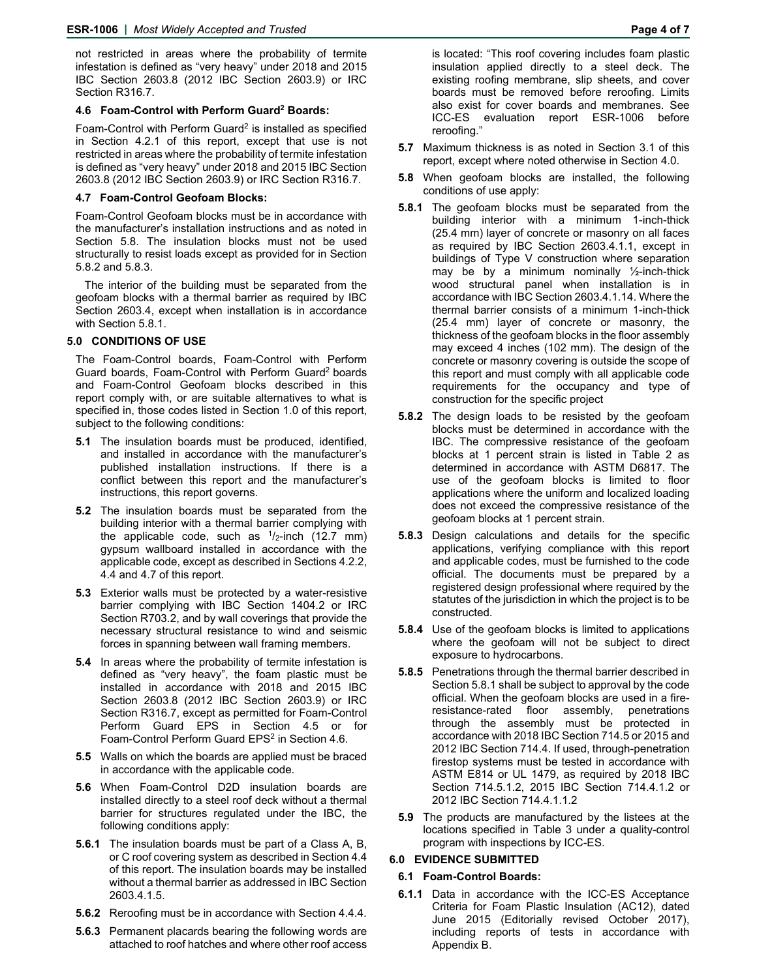not restricted in areas where the probability of termite infestation is defined as "very heavy" under 2018 and 2015 IBC Section 2603.8 (2012 IBC Section 2603.9) or IRC Section R316.7.

#### **4.6 Foam-Control with Perform Guard2 Boards:**

Foam-Control with Perform Guard<sup>2</sup> is installed as specified in Section 4.2.1 of this report, except that use is not restricted in areas where the probability of termite infestation is defined as "very heavy" under 2018 and 2015 IBC Section 2603.8 (2012 IBC Section 2603.9) or IRC Section R316.7.

#### **4.7 Foam-Control Geofoam Blocks:**

Foam-Control Geofoam blocks must be in accordance with the manufacturer's installation instructions and as noted in Section 5.8. The insulation blocks must not be used structurally to resist loads except as provided for in Section 5.8.2 and 5.8.3.

The interior of the building must be separated from the geofoam blocks with a thermal barrier as required by IBC Section 2603.4, except when installation is in accordance with Section 5.8.1.

#### **5.0 CONDITIONS OF USE**

The Foam-Control boards, Foam-Control with Perform Guard boards, Foam-Control with Perform Guard2 boards and Foam-Control Geofoam blocks described in this report comply with, or are suitable alternatives to what is specified in, those codes listed in Section 1.0 of this report, subject to the following conditions:

- **5.1** The insulation boards must be produced, identified, and installed in accordance with the manufacturer's published installation instructions. If there is a conflict between this report and the manufacturer's instructions, this report governs.
- **5.2** The insulation boards must be separated from the building interior with a thermal barrier complying with the applicable code, such as  $1/2$ -inch (12.7 mm) gypsum wallboard installed in accordance with the applicable code, except as described in Sections 4.2.2, 4.4 and 4.7 of this report.
- **5.3** Exterior walls must be protected by a water-resistive barrier complying with IBC Section 1404.2 or IRC Section R703.2, and by wall coverings that provide the necessary structural resistance to wind and seismic forces in spanning between wall framing members.
- **5.4** In areas where the probability of termite infestation is defined as "very heavy", the foam plastic must be installed in accordance with 2018 and 2015 IBC Section 2603.8 (2012 IBC Section 2603.9) or IRC Section R316.7, except as permitted for Foam-Control Perform Guard EPS in Section 4.5 or for Foam-Control Perform Guard EPS<sup>2</sup> in Section 4.6.
- **5.5** Walls on which the boards are applied must be braced in accordance with the applicable code.
- **5.6** When Foam-Control D2D insulation boards are installed directly to a steel roof deck without a thermal barrier for structures regulated under the IBC, the following conditions apply:
- **5.6.1** The insulation boards must be part of a Class A, B, or C roof covering system as described in Section 4.4 of this report. The insulation boards may be installed without a thermal barrier as addressed in IBC Section 2603.4.1.5.
- **5.6.2** Reroofing must be in accordance with Section 4.4.4.
- **5.6.3** Permanent placards bearing the following words are attached to roof hatches and where other roof access

is located: "This roof covering includes foam plastic insulation applied directly to a steel deck. The existing roofing membrane, slip sheets, and cover boards must be removed before reroofing. Limits also exist for cover boards and membranes. See ICC-ES evaluation report ESR-1006 before reroofing."

- **5.7** Maximum thickness is as noted in Section 3.1 of this report, except where noted otherwise in Section 4.0.
- **5.8** When geofoam blocks are installed, the following conditions of use apply:
- **5.8.1** The geofoam blocks must be separated from the building interior with a minimum 1-inch-thick (25.4 mm) layer of concrete or masonry on all faces as required by IBC Section 2603.4.1.1, except in buildings of Type V construction where separation may be by a minimum nominally  $\frac{1}{2}$ -inch-thick wood structural panel when installation is in accordance with IBC Section 2603.4.1.14. Where the thermal barrier consists of a minimum 1-inch-thick (25.4 mm) layer of concrete or masonry, the thickness of the geofoam blocks in the floor assembly may exceed 4 inches (102 mm). The design of the concrete or masonry covering is outside the scope of this report and must comply with all applicable code requirements for the occupancy and type of construction for the specific project
- **5.8.2** The design loads to be resisted by the geofoam blocks must be determined in accordance with the IBC. The compressive resistance of the geofoam blocks at 1 percent strain is listed in Table 2 as determined in accordance with ASTM D6817. The use of the geofoam blocks is limited to floor applications where the uniform and localized loading does not exceed the compressive resistance of the geofoam blocks at 1 percent strain.
- **5.8.3** Design calculations and details for the specific applications, verifying compliance with this report and applicable codes, must be furnished to the code official. The documents must be prepared by a registered design professional where required by the statutes of the jurisdiction in which the project is to be constructed.
- **5.8.4** Use of the geofoam blocks is limited to applications where the geofoam will not be subject to direct exposure to hydrocarbons.
- **5.8.5** Penetrations through the thermal barrier described in Section 5.8.1 shall be subject to approval by the code official. When the geofoam blocks are used in a fireresistance-rated floor assembly, penetrations through the assembly must be protected in accordance with 2018 IBC Section 714.5 or 2015 and 2012 IBC Section 714.4. If used, through-penetration firestop systems must be tested in accordance with ASTM E814 or UL 1479, as required by 2018 IBC Section 714.5.1.2, 2015 IBC Section 714.4.1.2 or 2012 IBC Section 714.4.1.1.2
- **5.9** The products are manufactured by the listees at the locations specified in Table 3 under a quality-control program with inspections by ICC-ES.

#### **6.0 EVIDENCE SUBMITTED**

#### **6.1 Foam-Control Boards:**

**6.1.1** Data in accordance with the ICC-ES Acceptance Criteria for Foam Plastic Insulation (AC12), dated June 2015 (Editorially revised October 2017), including reports of tests in accordance with Appendix B.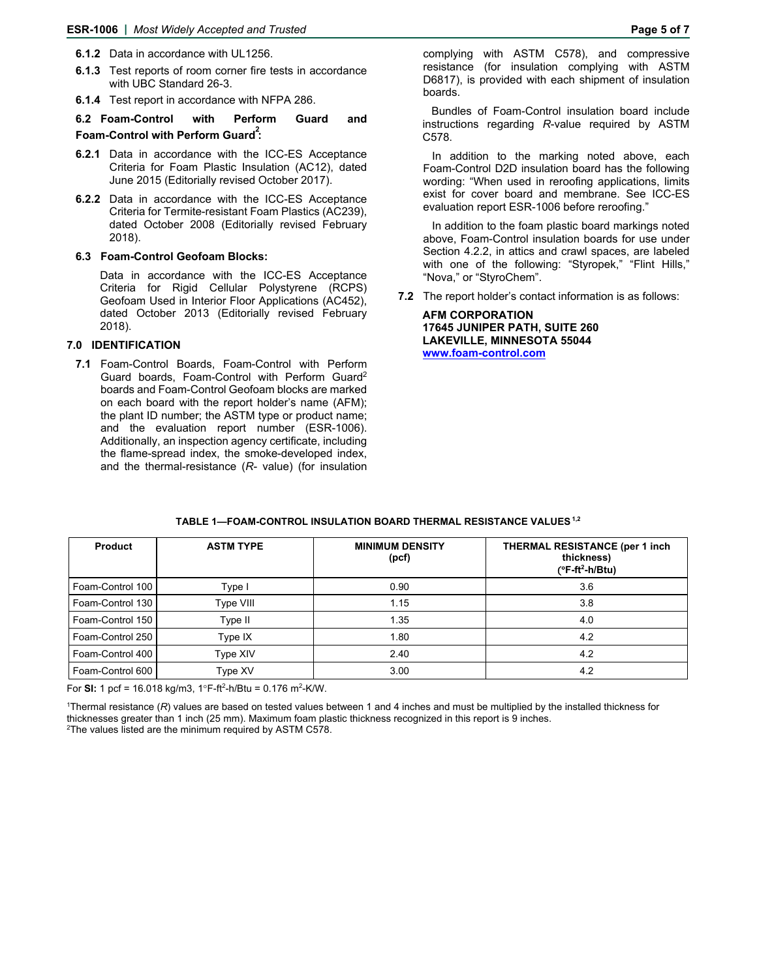- **6.1.2** Data in accordance with UL1256.
- **6.1.3** Test reports of room corner fire tests in accordance with UBC Standard 26-3.
- **6.1.4** Test report in accordance with NFPA 286.

# **6.2 Foam-Control with Perform Guard and Foam-Control with Perform Guard<sup>2</sup> :**

- **6.2.1** Data in accordance with the ICC-ES Acceptance Criteria for Foam Plastic Insulation (AC12), dated June 2015 (Editorially revised October 2017).
- **6.2.2** Data in accordance with the ICC-ES Acceptance Criteria for Termite-resistant Foam Plastics (AC239), dated October 2008 (Editorially revised February 2018).

# **6.3 Foam-Control Geofoam Blocks:**

Data in accordance with the ICC-ES Acceptance Criteria for Rigid Cellular Polystyrene (RCPS) Geofoam Used in Interior Floor Applications (AC452), dated October 2013 (Editorially revised February 2018).

# **7.0 IDENTIFICATION**

**7.1** Foam-Control Boards, Foam-Control with Perform Guard boards, Foam-Control with Perform Guard<sup>2</sup> boards and Foam-Control Geofoam blocks are marked on each board with the report holder's name (AFM); the plant ID number; the ASTM type or product name; and the evaluation report number (ESR-1006). Additionally, an inspection agency certificate, including the flame-spread index, the smoke-developed index, and the thermal-resistance (*R*- value) (for insulation complying with ASTM C578), and compressive resistance (for insulation complying with ASTM D6817), is provided with each shipment of insulation boards.

Bundles of Foam-Control insulation board include instructions regarding *R*-value required by ASTM C578.

In addition to the marking noted above, each Foam-Control D2D insulation board has the following wording: "When used in reroofing applications, limits exist for cover board and membrane. See ICC-ES evaluation report ESR-1006 before reroofing."

In addition to the foam plastic board markings noted above, Foam-Control insulation boards for use under Section 4.2.2, in attics and crawl spaces, are labeled with one of the following: "Styropek," "Flint Hills," "Nova," or "StyroChem".

**7.2** The report holder's contact information is as follows:

**AFM CORPORATION 17645 JUNIPER PATH, SUITE 260 LAKEVILLE, MINNESOTA 55044 www.foam-control.com** 

| <b>Product</b>   | <b>ASTM TYPE</b> | <b>MINIMUM DENSITY</b><br>(pcf) | <b>THERMAL RESISTANCE (per 1 inch)</b><br>thickness)<br>$(^{\circ}F-ft^2-h/Btu)$ |
|------------------|------------------|---------------------------------|----------------------------------------------------------------------------------|
| Foam-Control 100 | Type I           | 0.90                            | 3.6                                                                              |
| Foam-Control 130 | Type VIII        | 1.15                            | 3.8                                                                              |
| Foam-Control 150 | Type II          | 1.35                            | 4.0                                                                              |
| Foam-Control 250 | Type IX          | 1.80                            | 4.2                                                                              |
| Foam-Control 400 | Type XIV         | 2.40                            | 4.2                                                                              |
| Foam-Control 600 | Type XV          | 3.00                            | 4.2                                                                              |

#### **TABLE 1—FOAM-CONTROL INSULATION BOARD THERMAL RESISTANCE VALUES1,2**

For **SI:** 1 pcf = 16.018 kg/m3, 1°F-ft<sup>2</sup>-h/Btu = 0.176 m<sup>2</sup>-K/W.

1 Thermal resistance (*R*) values are based on tested values between 1 and 4 inches and must be multiplied by the installed thickness for thicknesses greater than 1 inch (25 mm). Maximum foam plastic thickness recognized in this report is 9 inches. 2

<sup>2</sup>The values listed are the minimum required by ASTM C578.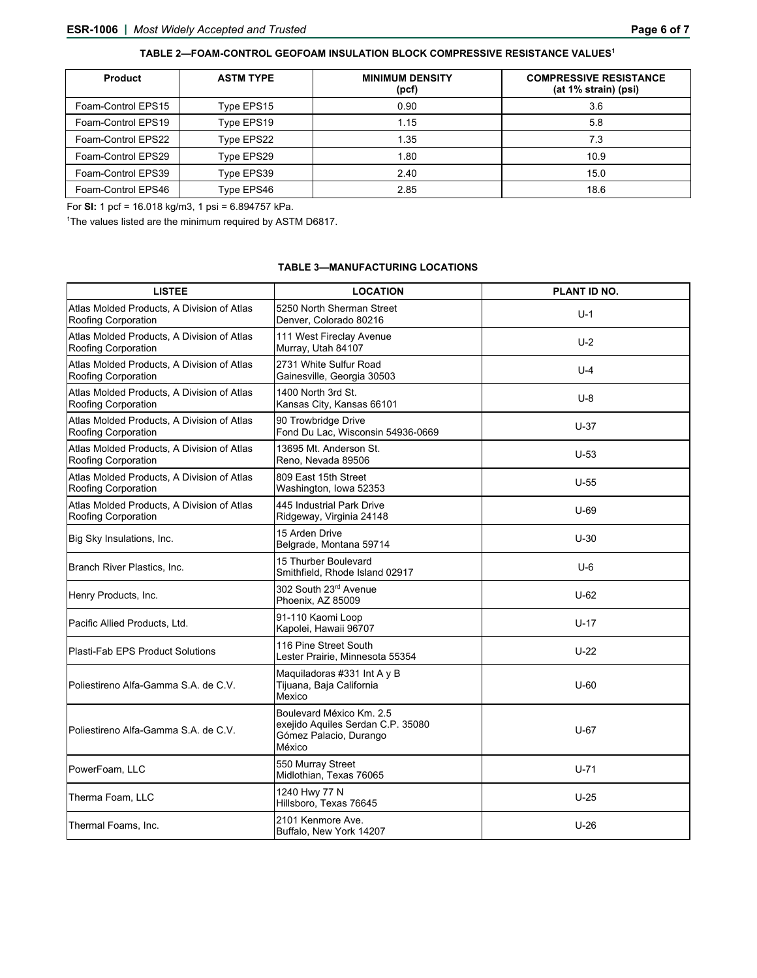|  |  | TABLE 2—FOAM-CONTROL GEOFOAM INSULATION BLOCK COMPRESSIVE RESISTANCE VALUES' |  |
|--|--|------------------------------------------------------------------------------|--|
|--|--|------------------------------------------------------------------------------|--|

| <b>Product</b>     | <b>ASTM TYPE</b> | <b>MINIMUM DENSITY</b><br>(pcf) | <b>COMPRESSIVE RESISTANCE</b><br>(at 1% strain) (psi) |
|--------------------|------------------|---------------------------------|-------------------------------------------------------|
| Foam-Control EPS15 | Type EPS15       | 0.90                            | 3.6                                                   |
| Foam-Control EPS19 | Type EPS19       | 1.15                            | 5.8                                                   |
| Foam-Control EPS22 | Type EPS22       | 1.35                            | 7.3                                                   |
| Foam-Control EPS29 | Type EPS29       | 1.80                            | 10.9                                                  |
| Foam-Control EPS39 | Type EPS39       | 2.40                            | 15.0                                                  |
| Foam-Control EPS46 | Type EPS46       | 2.85                            | 18.6                                                  |

For **SI:** 1 pcf = 16.018 kg/m3, 1 psi = 6.894757 kPa.

<sup>1</sup>The values listed are the minimum required by ASTM D6817.

# **TABLE 3—MANUFACTURING LOCATIONS**

| <b>LISTEE</b>                                                     | <b>LOCATION</b>                                                                                   | PLANT ID NO. |
|-------------------------------------------------------------------|---------------------------------------------------------------------------------------------------|--------------|
| Atlas Molded Products, A Division of Atlas<br>Roofing Corporation | 5250 North Sherman Street<br>Denver, Colorado 80216                                               | $U-1$        |
| Atlas Molded Products, A Division of Atlas<br>Roofing Corporation | 111 West Fireclay Avenue<br>Murray, Utah 84107                                                    | $U-2$        |
| Atlas Molded Products, A Division of Atlas<br>Roofing Corporation | 2731 White Sulfur Road<br>Gainesville, Georgia 30503                                              | $U-4$        |
| Atlas Molded Products, A Division of Atlas<br>Roofing Corporation | 1400 North 3rd St.<br>Kansas City, Kansas 66101                                                   | $U-8$        |
| Atlas Molded Products, A Division of Atlas<br>Roofing Corporation | 90 Trowbridge Drive<br>Fond Du Lac, Wisconsin 54936-0669                                          | $U-37$       |
| Atlas Molded Products, A Division of Atlas<br>Roofing Corporation | 13695 Mt. Anderson St.<br>Reno, Nevada 89506                                                      | $U-53$       |
| Atlas Molded Products. A Division of Atlas<br>Roofing Corporation | 809 East 15th Street<br>Washington, Iowa 52353                                                    | $U-55$       |
| Atlas Molded Products, A Division of Atlas<br>Roofing Corporation | 445 Industrial Park Drive<br>Ridgeway, Virginia 24148                                             | $U-69$       |
| Big Sky Insulations, Inc.                                         | 15 Arden Drive<br>Belgrade, Montana 59714                                                         | $U-30$       |
| Branch River Plastics, Inc.                                       | 15 Thurber Boulevard<br>Smithfield, Rhode Island 02917                                            | $U-6$        |
| Henry Products, Inc.                                              | 302 South 23 <sup>rd</sup> Avenue<br>Phoenix, AZ 85009                                            | $U-62$       |
| Pacific Allied Products, Ltd.                                     | 91-110 Kaomi Loop<br>Kapolei, Hawaii 96707                                                        | $U-17$       |
| Plasti-Fab EPS Product Solutions                                  | 116 Pine Street South<br>Lester Prairie, Minnesota 55354                                          | $U-22$       |
| Poliestireno Alfa-Gamma S.A. de C.V.                              | Maquiladoras #331 Int A y B<br>Tijuana, Baja California<br>Mexico                                 | $U-60$       |
| Poliestireno Alfa-Gamma S.A. de C.V.                              | Boulevard México Km. 2.5<br>exejido Aquiles Serdan C.P. 35080<br>Gómez Palacio, Durango<br>México | $U-67$       |
| PowerFoam, LLC                                                    | 550 Murray Street<br>Midlothian, Texas 76065                                                      | $U-71$       |
| Therma Foam, LLC                                                  | 1240 Hwy 77 N<br>Hillsboro, Texas 76645                                                           | $U-25$       |
| Thermal Foams, Inc.                                               | 2101 Kenmore Ave.<br>Buffalo, New York 14207                                                      | $U-26$       |